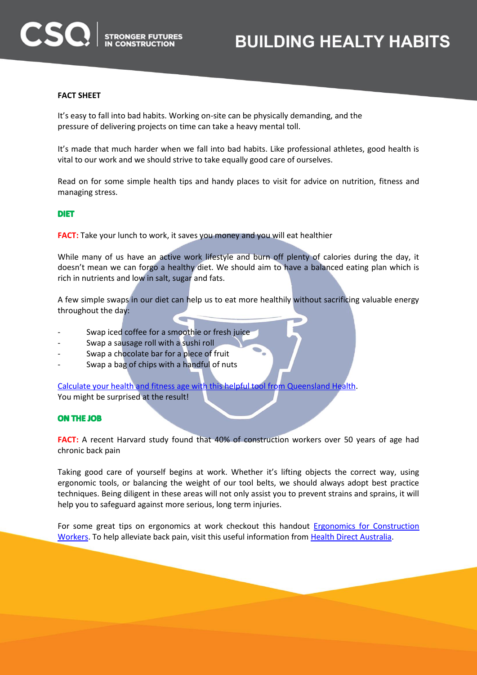# **BUILDING HEALTY HABITS**

## **FACT SHEET**

ISQ)

It's easy to fall into bad habits. Working on-site can be physically demanding, and the pressure of delivering projects on time can take a heavy mental toll.

It's made that much harder when we fall into bad habits. Like professional athletes, good health is vital to our work and we should strive to take equally good care of ourselves.

Read on for some simple health tips and handy places to visit for advice on nutrition, fitness and managing stress.

## **DIET**

**FACT:** Take your lunch to work, it saves you money and you will eat healthier

While many of us have an active work lifestyle and burn off plenty of calories during the day, it doesn't mean we can forgo a healthy diet. We should aim to have a balanced eating plan which is rich in nutrients and low in salt, sugar and fats.

A few simple swaps in our diet can help us to eat more healthily without sacrificing valuable energy throughout the day:

- Swap iced coffee for a smoothie or fresh juice
- Swap a sausage roll with a sushi roll

**STRONGER FUTURES** 

- Swap a chocolate bar for a piece of fruit
- Swap a bag of chips with a handful of nuts

[Calculate your health and fitness age with this helpful tool from Queensland Health.](http://healthier.qld.gov.au/calculator/#/calculator)

You might be surprised at the result!

#### **ON THE JOB**

**FACT:** A recent Harvard study found that 40% of construction workers over 50 years of age had chronic back pain

Taking good care of yourself begins at work. Whether it's lifting objects the correct way, using ergonomic tools, or balancing the weight of our tool belts, we should always adopt best practice techniques. Being diligent in these areas will not only assist you to prevent strains and sprains, it will help you to safeguard against more serious, long term injuries.

For some great tips on ergonomics at work checkout this handout [Ergonomics for Construction](http://www.cdc.gov/niosh/docs/2007-122/pdfs/2007-122.pdf)  [Workers.](http://www.cdc.gov/niosh/docs/2007-122/pdfs/2007-122.pdf) To help alleviate back pain, visit this useful information from [Health Direct Australia.](http://www.healthdirect.gov.au/topic/back-pain)